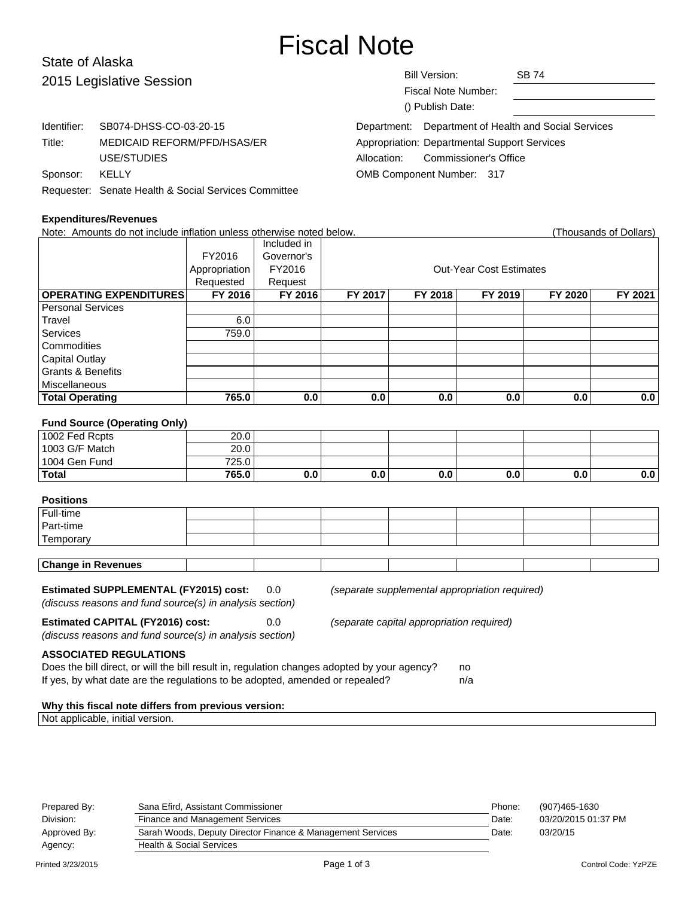# Fiscal Note

# State of Alaska 2015 L

| 2015 Legislative Session |                                                      | <b>Bill Version:</b><br><b>SB 74</b><br>Fiscal Note Number:<br>() Publish Date: |                                          |  |
|--------------------------|------------------------------------------------------|---------------------------------------------------------------------------------|------------------------------------------|--|
| Identifier:              | SB074-DHSS-CO-03-20-15                               | Department:                                                                     | Department of Health and Social Services |  |
| Title:                   | MEDICAID REFORM/PFD/HSAS/ER                          | Appropriation: Departmental Support Services                                    |                                          |  |
|                          | USE/STUDIES                                          | <b>Commissioner's Office</b><br>Allocation:                                     |                                          |  |
| Sponsor:                 | KELLY                                                | OMB Component Number: 317                                                       |                                          |  |
|                          | Requester: Senate Health & Social Services Committee |                                                                                 |                                          |  |

| <b>Expenditures/Revenues</b>                                         |               |             |         |         |                                |         |                        |
|----------------------------------------------------------------------|---------------|-------------|---------|---------|--------------------------------|---------|------------------------|
| Note: Amounts do not include inflation unless otherwise noted below. |               |             |         |         |                                |         | (Thousands of Dollars) |
|                                                                      |               | Included in |         |         |                                |         |                        |
|                                                                      | FY2016        | Governor's  |         |         |                                |         |                        |
|                                                                      | Appropriation | FY2016      |         |         | <b>Out-Year Cost Estimates</b> |         |                        |
|                                                                      | Requested     | Request     |         |         |                                |         |                        |
| <b>OPERATING EXPENDITURES</b>                                        | FY 2016       | FY 2016     | FY 2017 | FY 2018 | FY 2019                        | FY 2020 | FY 2021                |
| <b>Personal Services</b>                                             |               |             |         |         |                                |         |                        |
| Travel                                                               | 6.0           |             |         |         |                                |         |                        |
| <b>Services</b>                                                      | 759.0         |             |         |         |                                |         |                        |
| Commodities                                                          |               |             |         |         |                                |         |                        |
| Capital Outlay                                                       |               |             |         |         |                                |         |                        |
| <b>Grants &amp; Benefits</b>                                         |               |             |         |         |                                |         |                        |
| <b>Miscellaneous</b>                                                 |               |             |         |         |                                |         |                        |
| <b>Total Operating</b>                                               | 765.0         | 0.0         | 0.0     | 0.0     | 0.0                            | 0.0     | 0.0                    |
| <b>Fund Source (Operating Only)</b>                                  |               |             |         |         |                                |         |                        |
| 1002 Fed Rcpts                                                       | 20.0          |             |         |         |                                |         |                        |
| 1003 G/F Match                                                       | 20.0          |             |         |         |                                |         |                        |
| 1004 Gen Fund                                                        | 725.0         |             |         |         |                                |         |                        |
| <b>Total</b>                                                         | 765.0         | 0.0         | 0.0     | 0.0     | 0.0                            | 0.0     | 0.0                    |
| <b>Positions</b><br>Full-time                                        |               |             |         |         |                                |         |                        |

| <b>Change in Revenues</b> |  |  |  |  |  |  |  |
|---------------------------|--|--|--|--|--|--|--|
| Temporary                 |  |  |  |  |  |  |  |
| Part-time                 |  |  |  |  |  |  |  |
| Full-time                 |  |  |  |  |  |  |  |

#### **Estimated SUPPLEMENTAL (FY2015) cost:** 0.0 (separate supplemental appropriation required)

(discuss reasons and fund source(s) in analysis section)

**Estimated CAPITAL (FY2016) cost:** 0.0 (separate capital appropriation required)

(discuss reasons and fund source(s) in analysis section)

**ASSOCIATED REGULATIONS**

| Does the bill direct, or will the bill result in, regulation changes adopted by your agency? | no. |
|----------------------------------------------------------------------------------------------|-----|
| If yes, by what date are the regulations to be adopted, amended or repealed?                 | n/a |

## **Why this fiscal note differs from previous version:**

Not applicable, initial version.

| Prepared By: | Sana Efird, Assistant Commissioner                         | Phone: | (907)465-1630       |
|--------------|------------------------------------------------------------|--------|---------------------|
| Division:    | Finance and Management Services                            | Date:  | 03/20/2015 01:37 PM |
| Approved By: | Sarah Woods, Deputy Director Finance & Management Services | Date:  | 03/20/15            |
| Agency:      | <b>Health &amp; Social Services</b>                        |        |                     |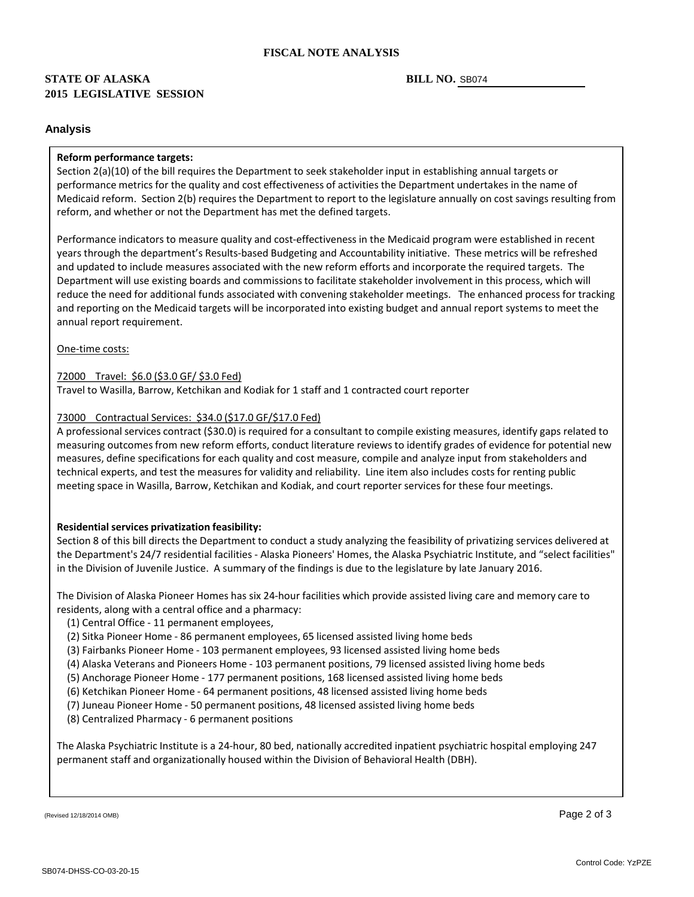# **2015 LEGISLATIVE SESSION STATE OF ALASKA**

#### BILL NO. SB074

#### **Analysis**

#### **Reform performance targets:**

Section 2(a)(10) of the bill requires the Department to seek stakeholder input in establishing annual targets or performance metrics for the quality and cost effectiveness of activities the Department undertakes in the name of Medicaid reform. Section 2(b) requires the Department to report to the legislature annually on cost savings resulting from reform, and whether or not the Department has met the defined targets.

Performance indicators to measure quality and cost-effectiveness in the Medicaid program were established in recent years through the department's Results-based Budgeting and Accountability initiative. These metrics will be refreshed and updated to include measures associated with the new reform efforts and incorporate the required targets. The Department will use existing boards and commissions to facilitate stakeholder involvement in this process, which will reduce the need for additional funds associated with convening stakeholder meetings. The enhanced process for tracking and reporting on the Medicaid targets will be incorporated into existing budget and annual report systems to meet the annual report requirement.

One -time costs:

#### 72000 Travel: \$6.0 (\$3.0 GF/ \$3.0 Fed)

Travel to Wasilla, Barrow, Ketchikan and Kodiak for 1 staff and 1 contracted court reporter

## 73000 Contractual Services: \$34.0 (\$17.0 GF/\$17.0 Fed)

A professional services contract (\$30.0) is required for a consultant to compile existing measures, identify gaps related to measuring outcomes from new reform efforts, conduct literature reviews to identify grades of evidence for potential new measures, define specifications for each quality and cost measure, compile and analyze input from stakeholders and technical experts, and test the measures for validity and reliability. Line item also includes costs for renting public meeting space in Wasilla, Barrow, Ketchikan and Kodiak, and court reporter services for these four meetings.

### **Residential services privatization feasibility:**

Section 8 of this bill directs the Department to conduct a study analyzing the feasibility of privatizing services delivered at the Department's 24/7 residential facilities - Alaska Pioneers' Homes, the Alaska Psychiatric Institute, and "select facilities" in the Division of Juvenile Justice. A summary of the findings is due to the legislature by late January 2016.

The Division of Alaska Pioneer Homes has six 24-hour facilities which provide assisted living care and memory care to residents, along with a central office and a pharmacy:

- (1) Central Office 11 permanent employees,
- (2) Sitka Pioneer Home 86 permanent employees, 65 licensed assisted living home beds
- (3) Fairbanks Pioneer Home 103 permanent employees, 93 licensed assisted living home beds
- (4) Alaska Veterans and Pioneers Home 103 permanent positions, 79 licensed assisted living home beds
- (5) Anchorage Pioneer Home 177 permanent positions, 168 licensed assisted living home beds
- (6) Ketchikan Pioneer Home 64 permanent positions, 48 licensed assisted living home beds
- (7) Juneau Pioneer Home 50 permanent positions, 48 licensed assisted living home beds
- (8) Centralized Pharmacy 6 permanent positions

The Alaska Psychiatric Institute is a 24-hour, 80 bed, nationally accredited inpatient psychiatric hospital employing 247 permanent staff and organizationally housed within the Division of Behavioral Health (DBH).

(Revised 12/18/2014 OMB)  $\overline{\phantom{a}}$  Page 2 of 3